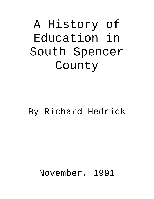# A History of Education in South Spencer County

# By Richard Hedrick

# November, 1991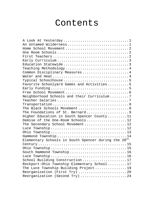# Contents

| A Look At Yesterday1                                             |
|------------------------------------------------------------------|
| An Untamed Wilderness1                                           |
|                                                                  |
|                                                                  |
|                                                                  |
|                                                                  |
| Education Statewide 3                                            |
| Teaching Methodology4                                            |
| Common Disciplinary Measures4                                    |
|                                                                  |
|                                                                  |
| Favorite Schoolyard Games and Activities5                        |
|                                                                  |
|                                                                  |
| Neighborhood Schools and their Curriculum7                       |
|                                                                  |
|                                                                  |
| The Black Schools Movement  8                                    |
| The Foundations of St. Bernard9                                  |
| Higher Education in South Spencer County11                       |
| Demise of the One-Room Schools12                                 |
| The Secondary School Movement12                                  |
|                                                                  |
|                                                                  |
| Hammond Township 14                                              |
| Elementary Schools in South Spencer during the 20 <sup>th.</sup> |
|                                                                  |
|                                                                  |
| South Hammond Township16                                         |
|                                                                  |
| School Building Construction17                                   |
| Rockport-Ohio Township Elementary School17                       |
| The Luce Township Building Project19                             |
| Reorganization (First Try) 20                                    |
| Reorganization (Second Try) 24                                   |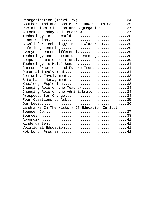| Reorganization (Third Try) 24                  |
|------------------------------------------------|
| Southern Indiana Hoosiers: How Others See us25 |
| Racial Discrimination and Segregation27        |
| A Look At Today And Tomorrow27                 |
| Technology in the World28                      |
|                                                |
| A Call for Technology in the Classroom29       |
| Life-long Learning 29                          |
| Everyone Learns Differently29                  |
| Technology can Restructure Learning30          |
| Computers are User Friendly30                  |
| Technology is Multi-Sensory31                  |
| Current Practices and Future Trends31          |
| Parental Involvement 31                        |
| Community Involvement 32                       |
| Site-based Management 33                       |
| Knowledge Explosion 33                         |
| Changing Role of the Teacher34                 |
| Changing Role of the Administrator34           |
| Prospects for Change34                         |
| Four Questions to Ask35                        |
|                                                |
| Landmarks In The History Of Education In South |
|                                                |
|                                                |
|                                                |
|                                                |
| Vocational Education41                         |
| Hot Lunch Program42                            |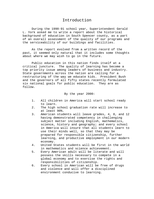# Introduction

During the 1990-91 school year, Superintendent Gerald L. York asked me to write a report about the historical background of education in South Spencer county, as a part of an overall assessment of the quality of our programs and the serviceability of our buildings and facilities.

As the report evolved from a written record of the past, it seemed only natural that it includes some thoughts about where we may wish to go in the future.

Public education in this nation finds itself at a critical juncture. The quality of learning has become a top priority issue among leaders of business and industry. State governments across the nation are calling for a restructuring of the way we educate kids. President Bush and the governors of all fifty states recently formulated six national goals for public education. They are as follow.

#### By the year 2000:

- 1. All children in America will start school ready to learn.
- 2. The high school graduation rate will increase to at least 90%.
- 3. American students will leave grades, 4, 8, and 12 having demonstrated competency in challenging subject matter including English, mathematics, science, history and geography; and every school in America will insure that all students learn to use their minds well, so that they may be prepared for responsible citizenship, further learning, and productive employment in our modern economy.
- 4. United States students will be first in the world in mathematics and science achievement.
- 5. Every American adult will be literate and will possess the skills necessary to compete in a global economy and to exercise the rights and responsibilities of citizenship.
- 6. Every school in American will be free of drugs and violence and will offer a disciplined environment conducive to learning.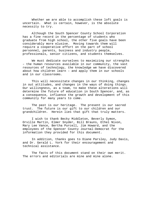Whether we are able to accomplish these loft goals is uncertain. What is certain, however, is the absolute necessity to try.

Although the South Spencer County School Corporation has a fine record in the percentage of students who graduate from high school, the other five goals have been considerably more elusive. Moving towards them will require a cooperative effort on the part of school personnel, parents, business and industry people, professionals, senior citizens, and students themselves.

We must dedicate ourselves to maximizing our strengths – the human resources available in our community, the vast resources of technology, the knowledge we have discovered about how children learn – and apply them in our schools and in our classrooms.

This will necessitate changes in our thinking, changes in out attitudes, and changes in the ways of doing things. Our willingness, as a team, to make these alterations will determine the future of education in South Spencer, and, as a consequence, influence the growth and development of this community for many years to come.

The past is our heritage. The present is our sacred trust. The future is our gift to our children and our grandchildren. Herein lies that gift that truly matters.

I wish to thank Becky Middleton, Beverly Symon, Orville Martin, Elmer Snyder, Bill Brauns, Ethel Nixon, Mary Lee Vance, Bertha Purcell, Jim Howard, and the employees of the Spencer County Journal-Democrat for the information they provided for this document.

In addition, thanks goes to Diane Parsley, Judy Davis, and Dr. Gerald L. York for their encouragement and technical assistance.

The facts of this document stand on their own merit. The errors and editorials are mine and mine alone.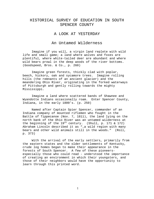# HISTORICAL SURVEY OF EDUCATION IN SOUTH SPENCER COUNTY

#### A LOOK AT YESTERDAY

#### An Untamed Wilderness

Imagine if you will, a virgin land replete with wild life and small game; a land where wolves and foxes are plentiful, where white-tailed deer are abundant and where wild bears prowl in the deep woods of the river bottoms. (Goodspeed, Bros. & Co., p. 260)

Imagine green forests, thickly clad with poplar, beech, hickory, oak and sycamore trees. Imagine rolling hills (the remnants of an ancient glacier) and the meandering Ohio River, originating in the forked waterways of Pittsburgh and gently rolling towards the mighty Mississippi.

Imagine a land where scattered bands of Shawnee and Wyandotte Indians occasionally roam. Enter Spencer County, Indiana, in the early 1800's. (p. 250)

Named after Captain Spier Spencer, commander of an Indiana company of mounted riflemen who fought in the Battle of Tippecanoe (Nov. 7, 1811), the land lying on the north bank of the Ohio River was an untamed wilderness at the beginning of the  $19^{th}$  century. (Shull, p. 171 & 172) Abraham Lincoln described it as "…a wild region with many bears and other wild animals still in the woods." (Roll, p. 373)

With the arrival of the early settlers, primarily from the eastern states and the older settlements of Kentucky, crude log homes began to make their appearance in the forests of South Spencer. A few of these pioneersespecially those who could read - understood the importance of creating an environment in which their youngsters, and those of their neighbors would have the opportunity to learn through this printed word.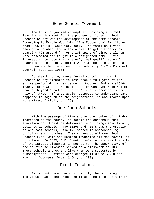# Home School Movement

The first organized attempt at providing a formal learning environment for the pioneer children in South Spencer County was the development of the home schools. According to Myrtle Woolfolk, "The Educational facilities from 1805 to 1820 were very poor. The families living closest were able, for a few weeks, to get a teacher by boarding him around." For brief spans of time, children were assembled and taught in a designated home. It's interesting to note that the only real qualification for teaching in this early period was "…to be able to make a quill pen and handle a beech limb adroitly." (The Rockport Journal, Feb. 11, 1955)

Abraham Lincoln, whose formal schooling in North Spencer County amounted to less than a full year of the entire period of his residence in Southern Indiana (1816- 1830), later wrote, "No qualification was ever required of teacher beyond 'readin', 'writin', and 'cipherin' to the rule of three. If a straggler supposed to understand Latin happened to sojourn in the neighborhood, he was looked upon as a wizard." (Roll, p. 376)

#### One Room Schools

With the passage of time and as the number of children increased in the county, it became the consensus that education could best be delivered in buildings specifically designed as schools. The 1820s and '30's saw the creation of one-room schools, usually located in abandoned log buildings and churches. They sprang up all over South Spencer—Luce, Ohio and Hammond townships claimed several at this time. In 1825, J.B. Greathouse's tannery was the site of the largest classroom in Rockport. The upper story of the courthouse likewise served as a classroom in 1833. These schools and others like them were supported by subscriptions. Patrons were charged \$1.00 to \$2.00 per month. (Goodspeed Bros. & Co., p. 399)

# First Teachers

Early historical records identify the following individuals as being among the first school teachers in the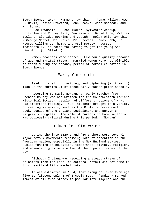South Spencer area: Hammond Township – Thomas Miller, Owen R. Davis, Josiah Crawford, John Howard, John Schrode, and Mr. Burns;

Luce Township: Susan Tucker, Sylvester Jessup, Holtsclaw and Rodney Pitt, Benjamin and David Luce, William Bowland, Eldridge Hopkins and Joseph Arnold; Ohio township – George Moffet, Mr. Price, Dr. Stevens, James Robb, Dr. Moore, William G. Thomas and Asel Dorsey. Dorsey, incidentally, is noted for having taught the young Abe Lincoln. (p. 399-414)

Women teachers were scarce. Few could qualify because of age and marital status. Married women were not eligible to teach during the infancy period of formal education in South Spencer.

# Early Curriculum

Reading, spelling, writing, and ciphering (arithmetic) made up the curriculum of these early subscription schools.

According to David Morgan, an early teacher from Spencer County who had written for the Southwestern Indiana Historical Society, people had different notions of what was important reading. Thus, students brought in a variety of reading materials, such as the Bible, a horse doctor book, copies of the Indiana Legislature and Bunyan's Pilgrim's Progress. The role of parents in book selection was obviously critical during this period. (Morgan)

# Education Statewide

During the late 1820's and '30's there were several major reform movements receiving lots of attention in the American nation, especially in the New England states. Public funding of education, temperance, slavery, religion, and women's rights were a few of the popular issues of the day.

Although Indiana was receiving a steady stream of colonists from the East, educational reform did not come to this heartland til somewhat later.

It was estimated in 1834, that among children from age five to fifteen, only 1 of 8 could read. "Indiana ranked lowest of all free states in popular intelligence and the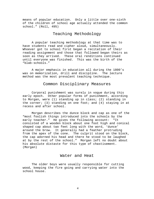means of popular education. Only a little over one-sixth of the children of school age actually attended the common school." (Roll, 495)

# Teaching Methodology

A popular teaching methodology at that time was to have students read and cipher aloud, simultaneously. Whoever got to school first began a recitation of their reading assignment and those that followed began theirs as soon as they arrived. These oral renditions continued until everyone was finished. This was the birth of the "blab-schools."

A major emphasis in education all during the 1800's was on memorization, drill and discipline. The lecture method was the most prevalent teaching technique.

#### Common Disciplinary Measures

Corporal punishment was surely in vogue during this early epoch. Other popular forms of punishment, according to Morgan, were (1) standing up in class; (2) standing in the corner; (3) standing on one foot; and  $(4)$  staying in at recess and after school.

Morgan describes the dunce block and cap as one of the "most foolish things introduced into the schools by the early teacher." He gives the following account: "It consisted of a wooden block about one foot high and conical shaped cap about two feet long with the word, 'dunce' around the brow. It generally had a feather protruding from the apex of the cone. The culprit stood on the block, the cap adorned his head and there he stood to be laughed at by the rest of the school." Morgan left no doubt about his absolute distaste for this type of chastisement. (Morgan)

#### Water and Heat

The older boys were usually responsible for cutting wood, keeping the fire going and carrying water into the school house.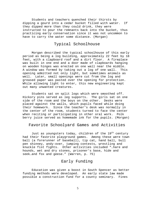Students and teachers quenched their thirsts by dipping a gourd into a cedar bucket filled with water. If they dipped more than they could drink, they were instructed to pour the remnants back into the bucket, thus practicing early conservation since it was not uncommon to have to carry the water some distance. (Morgan)

# Typical Schoolhouse

Morgan described the typical schoolhouse of this early period as being a log building, approximately 22 feet by 18 feet, with a clapboard roof and a dirt floor. A fireplace was built in one end and a door made of clapboards hanging on wooden hinges was erected on one wall near the middle. A window was formed by taking out a log of one wall. This opening admitted not only light, but sometimes animals as well. Later, small openings were cut from the log and greased paper was pasted over the opening for protection. While allowing light to enter, this new engineering kept out many unwanted creatures.

Students sat on split logs which were smoothed off. Hickory pins served as leg supports. The girls sat on one side of the room and the boys on the other. Desks were placed against the walls, which pupils faced while doing their homework. Since the teacher's desk was normally in the center of the room, students turned to face the center when reciting or participating in other oral work. Polk berry juice served as homemade ink for the pupils. (Morgan)

#### Favorite Schoolyard Games and Activities

Just as youngsters today, children of the  $19<sup>th</sup>$  century had their favorite playground games. Among these were town ball (a forerunner of baseball), tip cat, hand ball, bull pen shinney, andy-over, jumping contests, wrestling and knuckle fist fights. Other activities included "…hare and hounds, wet and dry stones, prisoner's base, hide and seek…and fox and geese." (Warren, p. 75)

# Early Funding

Education was given a boost in South Spencer as better funding methods were developed. An early state law made possible a construction fund for a county seminary. Fines

 $\overline{5}$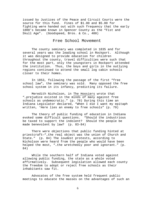issued by Justices of the Peace and Circuit Courts were the source for this fund. Fines of \$1.00 and \$5.00 for fighting were handed out with such frequency that the early 1800's became known in Spencer County as the "Fist and Skull Age". (Goodspeed, Bros. & Co., 400)

#### Free School Movement

The county seminary was completed in 1835 and for several years was the leading school in Rockport. Although it was designed to provide education for children throughout the county, travel difficulties were such that for the most part, only the youngsters in Rockport attended the institution. Thus, the boys and girls in the outlying regions continued to attend the small log cabin schools closer to their homes.

In 1853, following the passage of the first "free school law", the seminary was sold. Many opposed the free school system in its infancy, predicting its failure.

Meredith Nicholson, in The Hoosiers wrote that "…prejudice existed in the minds of many against free schools as undemocratic." (p. 78) During this time an Indiana Legislator declared, "When I die I want my epitaph written, 'Here lies an enemy to free schools" (p. 79)

The theory of public funding of education in Indiana evoked some difficult questions. "Should the industrious be taxed to support the indolent? Should the people be made benevolent by law? (p. 83-84)

There were objections that public funding hinted at priestcraft—"…the real object was the union of Church and State." (p. 84) The loudest protests, according to Nicholson were heard from the people who would have been helped the most, "…the wretchedly poor and ignorant." (p. 84)

While the southern half of Indiana voted against allowing public funding, the state as a whole voted affirmatively. Subsequent legislation allowed each county the freedom to adopt or reject free schools as their inhabitants saw fit.

Advocates of the free system held frequent public meetings to educate the masses on the advantages of such an

6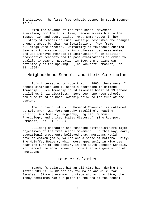initiative. The first free schools opened in South Spencer in 1859.

With the advance of the free school movement, education, for the first time, became accessible to the masses—rich and poor, alike. Mrs. Emma Yeager in her "History of Schools in Luce Township" describes the changes brought about by this new legislation. "New frame buildings were erected. Uniformity of textbooks enabled teachers to arrange pupils into classes, decrease noise, and use improved methods of instruction." In addition, prospective teachers had to pass examinations in order to qualify to teach. Education in Southern Indiana was definitely on the upswing. (The Rockport Democrat, Feb. 11, 1955)

#### Neighborhood Schools and their Curriculum

It's interesting to note that in 1865, there were 12 school districts and 12 schools operating in Hammond Township. Luce Township could likewise boast of 13 school buildings in 12 districts. Seventeen one-room schools could be found in Ohio Township prior to the turn of the century.

The course of study in Hammond Township, as outlined by Lola Ayer, was "Orthography (Spelling), Reading, Writing, Arithmetic, Geography, English, Grammar, Physiology, and United States History." (The Rockport Democrat, Feb. 11, 1955)

Building character and teaching patriotism were major objectives of the free school movement. In this way, early educational proponents believed that Americans would develop common goals, values and a sense of national unity. The McGuffey Readers, which were apparently in wide use near the turn of the century in the South Spencer Schools, influenced the moral ideas of more than one generation of Americans.

# Teacher Salaries

Teacher's salaries hit an all-time high during the latter 1800's--\$2.02 per day for males and \$1.23 for females. Since there was no state aid at that time, the money sometimes ran out prior to the end of the school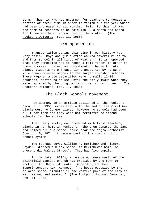term. Thus, it was not uncommon for teachers to donate a portion of their time in order to finish out the year which had been increased to six months. Prior to this, it was the norm of teachers to be paid \$10.00 a month and board for three months of school during the winter. (The Rockport Democrat, Feb. 11, 1955)

#### Transportation

Transportation during this time in our history was very basic. Boys and girls often walked several miles to and from school in all kinds of weather. It is reported that they sometimes had to "coon a rail fence" in order to cross a creek. Later, as consolidation began to take place, students were frequently transported by horse or mule drawn covered wagons to the larger township schools. These wagons, whose capacities were normally 12-15 students, continued in use until the early 1930s when they were replaced by the original motorized school buses. (The Rockport Democrat, Feb. 11, 1955)

#### The Black Schools Movement

Roy Bauman, in an article published in the Rockport Democrat in 1955, wrote that with the end of the Civil War, blacks were no longer slaves, however no schools had been built for them and they were not permitted to attend schools for the whites.

Aunt Leafy Mackey was credited with first teaching blacks in her home in Rockport. She then donated the land and helped build a school house near the Negro Methodist Church. By 1874, it became part of the town's public school system.

Two teenage boys, William H. Merithew and Filmore Snyder, started a black school in Merithew's home (on present day Walnut Street). They had five pupils.

In the later 1870's, a remodeled house north of the Smithfield Baptist church was provided by the town of Rockport for Negro students. According to then Superintendent A.H. Kennedy, "The house occupied by the colored school situated in the western part of the city is well warmed and seated." (The Rockport Journal Democrat, Feb. 11, 1955)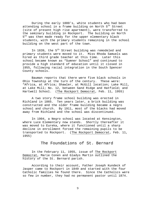During the early 1880's, white students who had been attending school in a frame building on North 5<sup>th</sup> Street (site of present high rise apartment), were transferred to the seminary building in Rockport. The building on North 5<sup>th</sup> was then made ready for the upper elementary black students, with the primary students remaining in the school building on the west part of the town.

In 1839, the 5<sup>th</sup> Street building was remodeled and primary students were moved to it. Miss Rhoda Samuels was hired as third grade teacher at this time. Later this school became known as "Sumner School" and continued to provide a high standard of education until it closed in 1955, following racial integration in the South Spencer County schools.

Bauman reports that there were five black schools in Ohio Township at the turn of the century. These were: "Africa, at Africa; Shawler, at McGill location; Lake Mill, at Lake Mill; No. 12, between Sand Ridge and Hatfield; and Hartwell School. (The Rockport Democrat, Feb. 11, 1955)

A two story frame school building was erected in Richland in 1865. Ten years later, a brick building was constructed and the older frame building became a negro school and church. By 1911, most of the blacks had moved away from Richland and the school was discontinued.

In 1904, a Negro school was located at Kensington, where Luce Elementary now stands. Shortly thereafter it was moved to Eureka, where it functioned until a sharp decline in enrollment forced the remaining pupils to be transported to Rockport. (The Rockport Democrat, Feb. 11, 1955)

# The Foundations of St. Bernard

In the February 11, 1955, issue of The Rockport Democrat, Marie Conen and Gladys Martin outlined the history of the St. Bernard parish.

According to their account, Father Joseph Kundeck of Jasper came to Rockport in 1849 and started with the four Catholic families he found there. Since the Catholics were so few in number, they had no permanent pastor until 1874.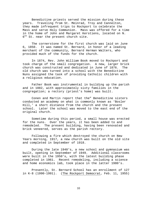Benedictine priests served the mission during these years. Traveling from St. Meinrad, Troy and Cannelton, they made infrequent trips to Rockport to celebrate the Mass and serve Holy Communion. Mass was offered for a time in the home of John and Margaret Kerstiens, located on N.  $6<sup>th</sup>$  St. near the present church site.

The cornerstone for the first church was laid on June 6, 1850. It was named St. Bernard, in honor of a leading merchant of the community, Bernard Herman Walters, who provided much of the funds for the church.

In 1874, Rev. John William Book moved to Rockport and took charge of the small congregation. A new, larger brick church was constructed and dedicated in June of 1876. The old church was turned into a school with the Benedictine Nuns assigned the task of providing Catholic children with a religious education.

Father Book was instrumental in building up the parish and in 1882, with approximately sixty families in the congregation; a rectory (priest's home) was built.

Conen and Martin report that the" Benedictine sisters conducted an academy on what is commonly known as 'Bosler Hill,' a short distance from the church and the present school. Later the school was moved to the east end of the original church.

Sometime during this period, a small house was erected for the nuns. Over the years, it has been added to and remodeled. The present building, having been renovated and brick veneered, serves as the parish rectory.

Following a fire which destroyed the church on New Years morning, 1917, a new church was built on the old site and completed in September of 1918.

During the late 1940's, a new school and gymnasium was built, opening in September of 1949. Additional classrooms were built in the 1950's, with the latest building phase completed in 1961. Recent remodeling, including a science and home economics lab, took place in the latter 1980's.

Presently, St. Bernard School has an enrollment of 127 in K-8 (1990-1991). (The Rockport Democrat, Feb. 11, 1955)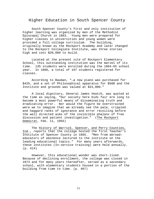#### Higher Education in South Spencer County

South Spencer County's first and only institution of higher learning was organized by men of the Methodist Episcopal Church in 1863. Young men were prepared for higher classes in universities and young women were provided a full college curriculum. The building, originally known as the Rockport Academy and later changed to the Rockport Collegiate Institute, was three stories high and cost \$20,000 to build.

Located at the present site of Rockport Elementary School, this outstanding institution was the marvel of its time. 135 students were enrolled during the 1864-65 school year. In 1866, a total of 197 students registered for classes.

According to Bauman, "…a new piano was purchased for \$425, and a set of Philosophical apparatus for \$500 and the Institute and grounds was valued at \$31,000."

A local dignitary, General James Veatch, was quoted at the time as saying, "Our society here bids fair ere long to become a most powerful means of disseminating truth and eradicating error. Nor would the figure be overstrained were we to imagine that we already see the pale, crippled and haggard ranks of ignorance and error recoiling before the well directed aims of the invincible phalanx of free discussion and patient investigation." (The Rockport Democrat, Feb. 11, 1955)

 The History of Warrick, Spencer, and Perry Counties, Ind., reports that the college hosted the first Teacher's Institute of Spencer County in 1865. "Men from abroad educators of eminence lectured to the institute on the leading educational topics." For many years afterwards, these institutes (In-service training) were held annually. (p. 414)

However, this educational wonder was short-lived. Because of declining enrollment, the college was closed in 1873 and for many years thereafter, served as a secondary school, with elementary students housed in a portion of the building from time to time. (p. 407)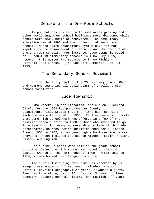# Demise of the One-Room Schools

As populations shifted, with some areas growing and other declining, many school buildings were abandoned while others were newly built of renovated. The compulsory education law of 1897 and the inclusion of secondary schools in the state educational system gave further impetus to the advancement of learning and the decline of the one-room schools. For instance, Luce township could still count 13 elementary schools in 1904. By 1925, however, this number was reduced to three—Richland, Hatfield, and Eureka. (The Rockport Democrat, Feb. 11, 1955)

# The Secondary School Movement

During the early part of the  $20<sup>th</sup>$  century, Luce, Ohio and Hammond townships all could boast of excellent high school facilities.

#### Luce Township

Emma Waters, in her historical article on "Richland City", for the 1968 Rockport-Spencer County Sesquicentennial, writes that the first high school in Richland was established in 1906. Earlier records indicate that some high school work was offered in a few of the district schools prior to 1900. Those who intended to go into teaching, for example, were able to take ninth grade "preparatory courses" which qualified them for a license. Around 1901 to 1902, a two year high school curriculum was provided, which included courses in Algebra, Latin, Ancient History and English.

For a time, classes were held in the grade school building; later the high school was moved to the old Baptist Church on the north edge of town. "From 1911 to 1914, it was housed over Ferguson's store."

The curriculum during this time, as recorded by Ms. Yeager, was academic "...first year: algebra, rhetoric, Latin I, physical geography;  $2^{nd}$  year: advanced algebra, American Literature, Latin II, physics; 3<sup>rd</sup> year: plane geometry, Caesar, general history, and English;  $4^{\text{th}}$  year: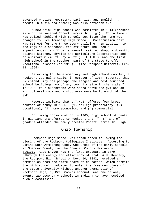advanced physics, geometry, Latin III, and English. A credit in music and drawing was also obtainable."

A new brick high school was completed in 1914 (present site of the vacated Robert Harris Jr. High). For a time it was called Richland High School, but later the name was changed to Luce Township High School. Construction cost was \$10,600 for the three story building. In addition to the regular classrooms, the structure included a superintendent's office, a manual training shop, a domestic science kitchen, physics and agriculture laboratories and an auditorium (45 ft. by 45 ft.). L.T.H.S. was the first high school in the southern part of the state to offer vocational classes (in 1919). (The Rockport Democrat, Feb. 11, 1955)

Referring to the elementary and high school complex, a Rockport Journal article, in October of 1914, reported that "Richland City has perhaps the largest and best equipped school buildings now of any town its size in the state." In 1935, four classrooms were added above the gym and an agricultural room and a shop area were built north of the gym.

Records indicate that L.T.H.S. offered four broad courses of study in 1955: (1) college preparatory; (2) vocational; (3) home economics; and (4) commercial.

Following consolidation in 1965, high school students in Richland transferred to Rockport and  $7^{\text{th}}$ ,  $8^{\text{th}}$  and  $9^{\text{th}}$ graders attended the newly created Robert Harris Jr. High.

# Ohio Township

Rockport High School was established following the closing of the Rockport Collegiate Institute. According to Elmina Ruth Armstrong Cook, who wrote of the early schools in Spencer County for the Spencer County Historical Society, Kate Snyder was the first graduate in 1879. "Through the energy and efficiency of Prof. A.H. Kennedy, the Rockport High School on Nov. 10, 1882, received a commission from the state board of education, which permits the high school graduates to enter the freshmen class of the state university without another examination." Rockport High, by Mrs. Cook's account, was one of only twenty two secondary schools in Indiana to have received such a commission.

13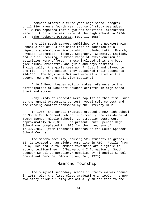Rockport offered a three year high school program until 1894 when a fourth year course of study was added. Mr. Bauman reported that a gym and additional classrooms were built onto the west side of the high school in 1924- 25. (The Rockport Democrat, Feb. 11, 1955)

The 1924 Beech Leaves, published by the Rockport High School class of '24 indicates that in addition to a rigorous academic curriculum which included Latin, French, Physics, Economics, History, Geography, Geometry, English, and Public Speaking, a broad range of extra-curricular activities were offered. These included girls and boys glee clubs, orchestra, and girls and boys basketball. Incidentally, the girls team won 7, lost 3 and played to one tie. For the season, they outscored their opponents 294-165. The boys were 9-7 and were eliminated in the second round of the Tell City sectional.

A 1917 Beech Leaves edition makes reference to the participation of Rockport student athletes in high school track and soccer.

Many kinds of contests were popular at this time, such as the annual oratorical contest, vocal solo contest and the reading contest sponsored by the Literary Club.

In 1956, the school trustees erected a new high school on South Fifth Street, which is currently the residence of South Spencer Middle School. Construction costs were approximately \$750,000. The present South Spencer High School was completed in 1975 for the grand sum of \$7,407,204. (from Financial Records of the South Spencer School Corp.)

The modern facility, housing 520 students in grades 9- 12, is located on an eighty acre site in REO. Pupils from Ohio, Luce and South Hammond townships are eligible to attend tuition-free. ("Background Information on South Spencer School Corporation," compiled by Financial School Consultant Service, Bloomington, In., 1973)

# Hammond Township

The original secondary school in Grandview was opened in 1905, with the first class graduating in 1909. The new two story brick building was actually an addition to the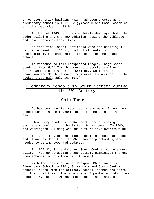three story brick building which had been erected as an elementary school in 1867. A gymnasium and Home Economics building was added in 1929.

In July of 1943, a fire completely destroyed both the older building and the new addition housing the athletic and home economics facilities.

At this time, school officials were anticipating a fall enrollment of 125 high school students, with approximately the same number expected for the grade school.

In response to this unexpected tragedy, high school students from Huff Township were transported to Troy. North Hammond pupils went to Chrisney, while those in Grandview and South Hammond transferred to Rockport. (The Rockport Journal, July 16, 1943)

# Elementary Schools in South Spencer during the 20<sup>th</sup> Century

Ohio Township

As has been earlier recorded, there were 17 one-room schoolhouses in the township prior to the turn of the century.

Elementary students in Rockport were attending seminary school during the latter  $19^{th}$  century. In 1900, the Washington Building was built to relieve overcrowding.

In 1920, many of the older schools had been abandoned and it was evident that the Ohio Township school system needed to be improved and updated.

In 1922-23, Silverdale and South Central schools were built. This construction phase totally eliminated the oneroom schools in Ohio Township. (Bauman)

With the construction of Rockport Ohio Township Elementary School in 1962, Silverdale and South Central schools, along with the seminary school, opened the doors for the final time. The modern era of public education was ushered in, but not without much debate and fanfare as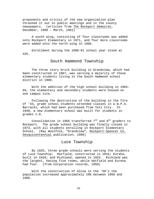proponents and critics of the new organization plan thrashed it out in public meetings and in the county newspapers. (articles from The Rockport Democrat, December, 1960 – March, 1961)

A south wing, consisting of four classrooms was added onto Rockport Elementary in 1971, and four more classrooms were added onto the north wing in 1986.

Enrollment during the 1990-91 school year stood at 425.

# South Hammond Township

The three story brick building in Grandview, which had been constructed in 1867, was serving a majority of those elementary students living in the South Hammond school district in 1900.

With the addition of the high school building in 1904- 05, the elementary and secondary students were housed on one campus site.

Following the destruction of the building in the fire of '43, grade school students attended classes in a W.P.A. Barracks, which had been purchased from Tell City. In 1949, a new elementary school was built for students in grades 1-8.

Consolidation in 1966 transferred  $7<sup>th</sup>$  and  $8<sup>th</sup>$  graders to Rockport. The grade school building was finally closed in 1973, with all students enrolling in Rockport Elementary School. (Ray Woolfolk, "Grandview", Rockport-Spencer Co. Sesquicentennial publication, 1968)

#### Luce Township

By 1925, three grade schools were serving the students of Luce Township: Hatfield, constructed in 1910; Eureka, built in 1920; and Richland, opened in 1925. Richland was the largest, having five rooms, while Hatfield and Eureka had four. (from Corporation records, 1959)

With the construction of Alcoa in the '50's the population increased approximately 10% between 1950 and 1960.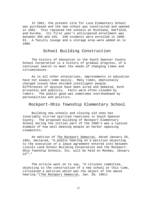In 1961, the present site for Luce Elementary School was purchased and the new school was constructed and opened in 1962. This replaced the schools at Richland, Hatfield, and Eureka. Its first year's anticipated enrollment was between 350 and 425. 240 students were enrolled in 1990- 91. A faculty lounge and a storage area were added on in 1986.

# School Building Construction

The history of education in the South Spencer County School Corporation is a history of gradual progress, of a continual search to meet the needs of changing times and circumstances.

As in all other enterprises, improvements in education have not always come easily. Many times, emotionally charged issues have divided intelligent people. Differences of opinion have been aired and debated, both privately and publicly. Facts were often clouded by rumors. The public good was sometimes overshadowed by personalities and politics.

Rockport-Ohio Township Elementary School

Building new schools and closing old ones has invariably stirred spirited reactions in South Spencer County. The proposed building of Rockport Elementary School during the initial part of the 1960's was a typical example of how well meaning people an harbor opposing viewpoints.

An edition of The Rockport Democrat, dated January 20, 1961, declared, "A public hearing on a petition objecting to the execution of a lease agreement entered into between Lincoln Land School Building Corporation and the Rockport-Ohio Township Schools, Inc. will be held on Monday, January  $23^{rd}$ ."

The article went on to say, "A citizens committee, objecting to the construction of a new school at this time, circulated a petition which was the object of the above hearing."(The Rockport Democrat, Jan. 20, 1961)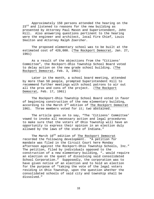Approximately 150 persons attended the hearing on the  $23^{rd}$  and listened to reasons for the new building as presented by Attorney Paul Mason and Superintendent, John Hill. Also answering questions pertinent to the hearing were the engineer and architect, local Fire Chief, Louis Skelton and Attorney Ralph Zoercher.

The proposed elementary school was to be built at the estimated cost of 420,000. (The Rockport Democrat, Jan. 27, 1961)

As a result of the objections from the "Citizens' Committee", the Rockport-Ohio Township School Board voted to delay action on the new grade school building. (The Rockport Democrat, Feb. 3, 1961)

Later in the month, a school board meeting, attended by more than 50 people, prompted Superintendent Hill to recommend further meetings with school patrons to air out all the pros and cons of the project. (The Rockport Democrat, Feb. 17, 1961)

The Rockport-Ohio Township School Board voted in favor of beginning construction of the new elementary building, according to the March 3<sup>rd</sup> edition of The Rockport Democrat 1961. Three members voted for it; two abstained.

The article goes on to say, "The 'Citizens' Committee' vowed to invoke all necessary action and legal procedures to make sure that the voters of Ohio Township will have an opportunity to express their opinion in an election duly allowed by the laws of the state of Indiana."

The March  $10^{th}$  edition of The Rockport Democrat recorded the following development. "A petition for mandate was filed in the Circuit Court here Monday afternoon against the Rockport-Ohio Township Schools, Inc." The petition, filed by individuals opposed to the construction of a new elementary building, "… would require an election on the quest of dissolving said consolidated School Corporation." Supposedly, the corporation was to have given notice of an election and to hold an election for the purpose of "taking the vote of the legal voters residing in Ohio Township, upon the question whether the consolidated schools of said city and township shall be dissolved."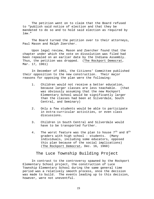The petition went on to claim that the Board refused to "publish said notice of election and that they be mandated to do so and to hold said election as required by law."

The Board turned the petition over to their attorneys, Paul Mason and Ralph Zoercher.

Upon legal review, Mason and Zoercher found that the chapter under which the vote on dissolution was filed had been repealed on an earlier date by the Indiana Assembly. Thus, the petition was dropped. (The Rockport Democrat, Mar. 17, 1961)

In December of 1961, the Citizens' Committee published their opposition to the new construction. Their major reasons for opposing the plan were the following:

- 1. Children would not receive a better education, because larger classes are less teachable. (that was obviously assuming that the new Rockport Elementary School would be significantly larger than the classes had been at Silverdale, South Central, and Seminary)
- 2. Only a few students would be able to participate in extra-curricular activities, or even class discussions.
- 3. Children in South Central and Silverdale would have to be transported further.
- 4. The worst feature was the plan to house  $7<sup>th</sup>$  and  $8<sup>th</sup>$ graders with high school - students. (Many individuals, including some educators, opposed this plan because of the social implications) (The Rockport Democrat, Dec. 16, 1960)

#### The Luce Township Building Project

In contrast to the controversy spawned by the Rockport Elementary School project, the construction of Luce Township Elementary School during the same general time period was a relatively smooth process, once the decision was made to build. The events leading up to this decision, however, were not uneventful.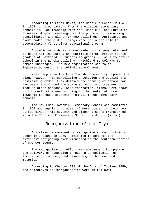According to Ethel Nixon, the Hatfield School P.T.A., in 1957, invited patrons from the existing elementary schools in Luce Township—Richland, Hatfield, and Eureka—to a series of group meetings for the purpose of discussing consolidation and plans for new buildings. Antiquated and overcrowded, the old buildings were no longer able to accommodate a first class educational program.

A preliminary decision was made by the superintendent to house all the Eureka and Hatfield first through fourth graders at Hatfield. Students in grades 5-8 were to attend school in the Eureka building. Richland School was to remain unchanged. The new organization was to be implemented during the 1960-61 school year.

Many people in the Luce Township community opposed the plan, however. By circulating a petition and obtaining a restraining order, they delayed the opening of school for two weeks and forced the administration and trustees to look at other options. Soon thereafter, plans, were drawn up to construct a new building in the center of Luce Township to house students from all three elementary schools.

The new Luce Township Elementary School was completed in 1962 and pupils in grades 1-6 were placed in their new surroundings. All seventh and eighth graders transferred into the Richland Elementary School building. (Nixon)

#### Reorganization (First Try)

A state-wide movement to reorganize school districts began in Indiana in 1959. This led to some of the bitterest infighting ever witnessed in the southern portion of Spencer County.

The reorganization effort was a movement to upgrade the delivery of education through a consolidation of facilities, finances, and resources, both human and material.

According to Chapter 202 of the Acts of Indiana 1959, the objectives of reorganization were as follows: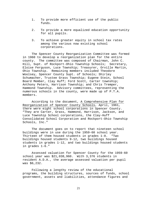- 1. To provide more efficient use of the public funds.
- 2. To provide a more equalized education opportunity for all pupils.
- 3. To achieve greater equity in school tax rates among the various now existing school corporations.

The Spencer County Reorganization Committee was formed in 1960 to develop a reorganization plan for the entire county. The committee was composed of Chairman, John C. Hill, Supt. of Rockport-Ohio Township Schools; Secretary, Eloise Ferguson, Luce Township; Treasurer, Orville Martin, Ohio Township. Remaining members included Theodore Woolsey, Spencer County Supt. of Schools; Shirley Schumacher, Trustee Grass Township; Eugene Stein, School Board Member, Clay Huff; Ford Scott, Carter township; Anthony Peters, Harrison Township; and Chris Tremper, Hammond Township. Advisory committees, representing the numerous schools in the county, were made up of P.T.A. members.

According to the document, A Comprehensive Plan for Reorganization of Spencer County Schools, April, 1961, there were eight school corporations in Spencer County. "They are Carter, Grass, Hammond, Harrison, Jackson, and Luce Township School corporations, the Clay-Huff Consolidated School Corporation and Rockport-Ohio Township Schools, Inc."

The document goes on to report that nineteen school buildings were in use during the 1959-60 school year. Thirteen of them housed students in grades 1-8. "Two buildings housed students 9-12, two buildings housed students in grades 1-12, and two buildings housed students in grades 1-6."

Assessed valuation for Spencer County for the 1959-60 school year was \$21,038,960. With 3,376 students in resident A.D.A., the average assessed valuation per pupil was \$6,232.

Following a lengthy review of the educational programs, the building structures, sources of funds, school government, assets and liabilities, attendance figures and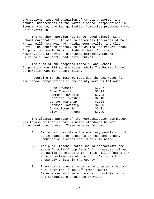projections, insured valuation of school property, and bonded indebtedness of the various school corporations in Spencer County, the Reorganization Committee proposed a two unit system in 1961.

The northern portion was to be named Lincoln Land School Corporation. It was to encompass the areas of Dale, Mariah Hill, St. Meinrad, Fulda, Gentryville, and Clay-Huff. The southern sector, to be called The Pocket School Corporation, would have included Midway, Chrisney, Newtonville, Grandview, Richland, Hatfield, Eureka, Silverdale, Rockport, and South Central.

The area of the proposed Lincoln Land School Corporation was 184 square miles, while The Pocket School Corporation was 197 square miles.

According to the 1959-60 records, the tax rates for the school corporations in the county were as follows:

| Luce Township      | \$2.27 |
|--------------------|--------|
| Ohio Township      | \$2.99 |
| Hammond Township   | \$2.83 |
| Harrison Township  | \$2.18 |
| Carter Township    | \$2.63 |
| Jackson Township   | \$2.50 |
| Grass Township     | \$2.01 |
| Clay-Huff Township | \$2.20 |

The ultimate purpose of the Reorganization Committee was to assure that certain minimal standards be met throughout the county. These were as follows:

- 1. As far as possible all elementary pupils should be in classes of students of the same grade. Combination classes should be eliminated.
- 2. The pupil-teacher ratio should approximate the state formula—32 pupils A.D.A. in grades 1-8 and 28 pupils in grades 9-12. This will affect a far more effective use of the public's funds than presently exists in the county.
- 3. Practical art experiences should be provided all pupils at the  $7<sup>th</sup>$  and  $8<sup>th</sup>$  grade levels. Experiences in home economics, industrial arts and agriculture should be provided.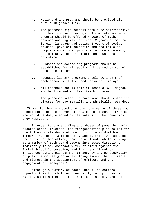- 4. Music and art programs should be provided all pupils in grades 1-12.
- 5. The proposed high schools should be comprehensive in their course offerings. A complete academic program should be offered—4 years of math, science and English; at least 2 years of modern foreign language and Latin; 3 years of social studies, physical education and health; also complete vocational programs in home economics, agriculture, industrial arts and business education.
- 6. Guidance and counseling programs should be established for all pupils. Licensed personnel should be employed.
- 7. Adequate library programs should be a part of each school with licensed personnel employed.
- 8. All teachers should hold at least a B.S. degree and be licensed in their teaching area.
- 9. The proposed school corporations should establish classes for the mentally and physically retarded.

It was further proposed that the governance of these two school corporations be vested in a board of school trustees who would be duly elected by the voters in the townships they represent.

In order to prevent flagrant abuses of power by newly elected school trustees, the reorganization plan called for the following standards of conduct for individual board members: "…that he will honestly and faithfully discharge the duties of his office, that he will not, while serving as a member of such board become interested directly or indirectly in any contract with, or claim against the Pocket School Corporation, and that he will not be influenced during his term of office, by any consideration of politics or religion or any thing except that of merit and fitness in the appointment of officers and the engagement of employees."

Although a summary of facts—unequal educational opportunities for children, inequality in pupil teacher ratios, small numbers of pupils in each school, and sub-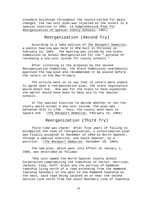standard buildings throughout the county—called for major changes, the two unit plan was rejected by the voters in a special election in 1962. (A Comprehensive Plan for Reorganization of Spencer County Schools, 1961)

Reorganization (Second Try)

 According to a 1964 edition of The Rockport Democrat, a public hearing was held in VFW hall in Chrisney on February 14, 1964. The meeting was called by the State Commission on School Reorganization for the "…purpose of reviewing a one-unit system for county schools."

 After listening to the proposal by the second Reorganization Committee, the State Commission unanimously approved the new plan and recommended it be placed before the voters in the May Primary.

The article went on to say that if voters were unable to agree upon a reorganization plan, the state legislature would enact one. One way for the state to have expedited the matter would have been to deny aid to the smaller schools.

In the special election to decide whether or not the county would accept a one-unit system, the plan was defeated 3232 to 1795. Thus, the county went back to square one. (The Rockport Democrat, February 14, 1964)

Reorganization (Third Try)

Third time was charm! After five years of failing to accomplish the task of reorganization, a consolidation plan was finally accepted in December of 1964—in North Spencer, through a special election, and South Spencer, by a petition. (The Rockport Democrat, December 18, 1964)

The new plan, which went into effect on January 1, 1965, was described as follows:

"One unit named the North Spencer County School Corporation compromising the townships of Carter, Harrison, Jackson, Clay, Huff, Grass and the portion of Hammond township lying north of a road extending from the Hammond township boundary on the west to the Hammond township on the east, said road being located on or near the second section line north from the south boundary line of Township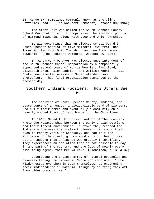6S, Range 5W, sometimes commonly known as the Clint Jefferies Road." (The Rockport Democrat, October 30, 1964)

The other unit was called the South Spencer County School Corporation and it compromised the southern portion of Hammond Township, along with Luce and Ohio Townships.

It was determined that an elected school board in South Spencer consist of five members: two from Luce Township, two from Ohio Township, and one from Hammond township. (The Rockport Democrat, October 30, 1964)

In January, Fred Ayer was elected Superintendent of the South Spencer School Corporation by a temporarily appointed school board of Morris Woehler, Paul Boyd, Elizabeth Cron, Ralph Saddler, and William Machin. Paul Dunker was elected Assistant Superintendent soon thereafter. This final organization continues to the present day.

# Southern Indiana Hoosiers: How Others See  $T\bar{S}$

The citizens of South Spencer County, Indiana, are descendents of a rugged, individualistic band of pioneers, who built their homes and eventually a community on a heavily wooded tract of land bordering the Ohio River.

In 1916, Meredith Nicholson, author of The Hoosiers wrote the relationship between the early Indian settlers and their forest environment. "Before they reached the Indiana wilderness…the stalwart pioneers had swung their axes in Pennsylvania or Kentucky, and had felt the influence of the great, gloomy woodlands in their lives; but in Indiana this influence was greatly intensified. They experienced an isolation that is not possible to-day in any part of the country, and the loss of nearly every civilizing agency that men value." (Nicholson, p. 36 & 37)

Describing the endless array of natural obstacles and diseases facing the pioneers, Nicholson concluded, "…the wilderness…drove them in upon themselves, strengthening their independence in material things by shutting them off from older communities."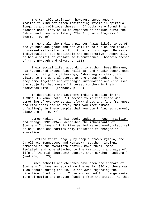The terrible isolation, however, encouraged a meditative mind-set often manifesting itself in spiritual longings and religious themes. "If books were found in a pioneer home, they could be expected to include first the Bible, and then very likely "The Pilgrim's Progress." (Warren, p. 49)

In general, the Indiana pioneer "…was likely to be of the younger age group and not well to do but on the make…He possessed self-reliance, fortitude, and courage. He was an individualist, but hospitable and cooperative. Above all, he had a spirit of violate self-confidence, 'bodaciousness' …" (Thornbrough and Riker, p. 260)

Their social life, according to author, Bess Ehrmann, was "…centered around 'log rollings' and 'husky bees', camp meetings, religious gatherings, 'shooting matches', and visits to the general stores at the cross-roads. There they came together and exchanged information and discussed the subjects that were of interest to them in their backwoods life." (Ehrmann, p. 65)

In describing the Southern Indiana Hoosier in the 1930's, Ehrmann wrote, "It seemed to me that there was something of eye-eye straightforwardness and fine frankness and kindliness and courtesy that you meet almost unfailingly in these people…that you don't find so commonly elsewhere." (p. 77)

James Madison, in his book, Indiana Through Tradition and Change, 1920-1945, described the inhabitants of Southern Indiana of this time period as extremely skeptical of new ideas and particularly resistant to changes in education.

"Settled first largely by people from Virginia, the Carolinas, Tennessee, and Kentucky, southern Indiana remained in the twentieth century more rural, more isolated, and more attached to the traditions and ways of life of the mid-nineteenth century than northern Indiana." (Madison, p. 23)

Since schools and churches have been the anchors of Southern Indiana society since the early 1800's, there was much debate during the 1920's and 30's regarding the direction of education. Those who argued for change wanted more direction and greater funding from the state. At this

26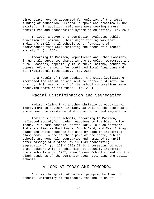time, state revenue accounted for only 10% of the total funding of education. Federal support was practically nonexistent. In addition, reformers were seeking a more centralized and standardized system of education. (p. 263)

In 1922, a governor's commission evaluated public education in Indiana. Their major finding was that Indiana's small rural schools were, "bastions of backwardness that were resisting the needs of a modern society." (p. 266)

According to Madison, Republicans and urban Hoosiers, in general, supported change in the schools. Democrats and rural Hoosiers, especially in Southern Indiana, tended to oppose reform, arguing for continued local financing and for traditional methodology. (p. 265)

As a result of these studies, the state legislature increased the amount of aid sent to poorer districts, so that by 1940, nearly half of the school corporations were receiving state relief funds. (p. 269)

#### Racial Discrimination and Segregation

Madison claims that another obstacle to educational improvement in southern Indiana, as well as the state as a whole, was the existence of discrimination and segregation.

Indiana's public schools, according to Madison, reflected society's broader reactions to the black-white issue. "In some schools, particularly in such northern Indiana cities as Fort Wayne, South Bend, and East Chicago, black and white students sat side by side in integrated classrooms. In the southern part of the state, public schools are generally segregated and remained so until after passage of a state law in 1949 prohibiting segregation." (p. 278 & 279) It is interesting to note, that Rockport-Ohio Township did not actually integrate their schools until 1955, when Sumner School closed and the black students of the community began attending the public schools.

#### A LOOK AT TODAY AND TOMORROW

Just as the spirit of reform, prompted by free public schools, uniformity of textbooks, the inclusion of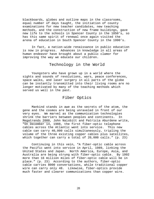blackboards, globes and outline maps in the classrooms, equal number of days taught, the initiation of county examinations for new teacher candidates, new teaching methods, and the construction of new frame buildings, gave new life to the schools in Spencer County in the 1850's, so has this same spirit of renewal once again visited the arena of education in South Spencer County in the 1990's.

In fact, a nation-wide renaissance in public education is now in progress. Advances in knowledge in all areas of human endeavor have brought about a public clamor for improving the way we educate our children.

#### Technology in the World

Youngsters who have grown up in a world where the sights and sounds of revolutions, wars, peace conferences, space walks, and laser surgery in all parts of the globe can be instantly transmitted into their living rooms are no longer motivated by many of the teaching methods which served us well in the past.

# Fiber Optics

Mankind stands in awe as the secrets of the atom, the gene and the cosmos are being unraveled in front of our very eyes. We marvel as the communication technologies shrink the barriers between peoples and continents. In Megatrends 2000, John Naisbitt and Patricia Aburdene write, "On December 14, 1988, the first fiber-optic telephone cables across the Atlantic went into service. This new cable can carry 40,000 calls simultaneously, tripling the volume of the three existing copper cables plus satellites, which together can carry a total of 20,000 calls." (p. 23)

Continuing in this vein, "A fiber-optic cable across the Pacific went into service in April, 1989, linking the United States and Japan. North America, Europe, Asia, and Australia are being strung with fiber-optic cable. By 1992 more than 16 million miles of fiber-optic cable will be in place." (p. 23) According to the authors, fiber-optic cable carries 8000 conversations, while traditional copper wire can carry only 48. Likewise, fiber-optics provide much faster and clearer communications than copper wire.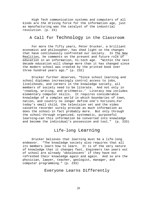High Tech communication systems and computers of all kinds are the driving force for the information age, just as manufacturing was the catalyst of the industrial revolution. (p. 23)

# A Call for Technology in the Classroom

For more the fifty years, Peter Drucker, a brilliant economist and philosopher, has shed light on the changes that have continuously confronted our society. In The New Realities, he comments on the present and future role of education in an information, hi-tech age. "Within the next decade education will change more than it has changed since the modern school was created by the printed book over three hundred years ago." (p. 232)

Drucker further observes, "Since school learning and school diplomas increasingly control access to jobs, livelihoods, and careers in the knowledge society, all members of society need to be literate. And not only in 'reading, writing, and arithmetic.' Literacy now includes elementary computer skills. It requires considerable knowledge of a complex world in which boundaries of town, nation, and country no longer define one's horizons…For today's small child, the television set and the video cassette recorder surely provide as much information as does the school-in fact probably more. But only through the school-through organized, systematic, purposeful learning—can this information be converted into knowledge and become the individual's possession and tool." (p. 233)

# Life-long Learning

Drucker believes that learning must be a life-long endeavor. "The knowledge society also requires that all its members learn how to learn. It is of the very nature of knowledge that it changes fast… Engineers ten years out of school are already 'obsolescent' if they have not refreshed their knowledge again and again. And so are the physician, lawyer, teacher, geologist, manager, and computer programming." (p. 233)

#### Everyone Learns Differently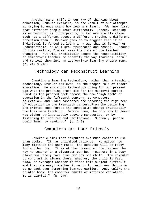Another major shift in our way of thinking about education, Drucker explains, is the result of our attempts at trying to understand how learners learn. "We know first that different people learn differently. Indeed, learning is as personal as fingerprints; no two are exactly alike. Each has a different speed, a different rhythm, a different attention span." Drucker goes on to suggest that if an individual is forced to learn in a way that is foreign or uncomfortable, he will grow frustrated and resist. Because of this reality, Drucker sees the role of the teacher changing. "It will predictably become the responsibility of tomorrow's teacher to identify the way learners learn…" and to lead them into an appropriate learning environment. (p. 247 & 248)

# Technology can Reconstruct Learning

Creating a learning technology, rather than a teaching technology, Drucker believes, is the proper role of modern education. He envisions technology doing for our present age what the printing press did for the medieval period. "Just as the printed book became the new "high tech" of education in the fifteenth century, so computers, television, and video cassettes are becoming the high tech of education in the twentieth century…From the beginning the printed book forced the schools…to change drastically how they were teaching. Before then, the only way to learn was either by laboriously copying manuscript, or by listening to lectures and recitations. Suddenly, people could learn by reading." (p. 249)

#### Computers are User Friendly

Drucker claims that computers are much easier to use than books. "It has unlimited patience. No matter how many mistakes the user makes, the computer will be ready for another try. It is at the command of the learner the way no teacher in a classroom can be. Teachers in a busy classroom rarely have time for any one child. The computer by contrast is always there, whether, the child is fast, slow, or average; whether it finds this subject difficult and that one easy; whether it wants to learn new things or to go back over something learned earlier. And, unlike the printed book, the computer admits of infinite variation. It is playful." (p. 249)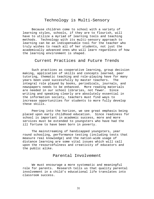# Technology is Multi-Sensory

Because children come to school with a variety of learning styles, schools, if they are to flourish, will have to utilize a myriad of learning tools and teaching methods. Technology with its multi-sensory approach to learning can be an indispensable tool for the teacher who truly wishes to reach all of her students, not just the academically advanced ones who will learn regardless of how the learning environment is shaped.

#### Current Practices and Future Trends

Such practices as cooperative learning, group decision making, application of skills and concepts learned, peer tutoring, thematic teaching and role-playing have for many years been used successfully by master teachers. The integral role played by books, periodicals, journals, and newspapers needs to be enhanced. More reading materials are needed in our school libraries, not fewer. Since writing and speaking clearly are absolutely essential in the information society, teachers must find ways to increase opportunities for students to more fully develop these skills.

Peering into the horizon, we see great emphasis being placed upon early childhood education. Since readiness for school is important in academic success, more and more services must be extended to youngsters who have had the ill fortune to have been born in poverty.

The mainstreaming of handicapped youngsters, year round schooling, performance testing (including tests that measure real knowledge) and the nation-wide usage of distance learning are some vital issues which will call upon the resourcefulness and creativity of educators and the public alike.

# Parental Involvement

We must encourage a more systematic and meaningful role for parents. Research tells us that quality parental involvement in a child's educational life translates into classroom success.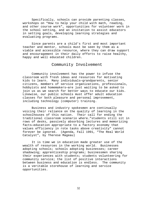Specifically, schools can provide parenting classes, workshops on "How to help your child with math, reading, and other course work", opportunities for volunteer work in the school setting, and an invitation to assist educators in setting goals, developing learning strategies and evaluating programs.

Since parents are a child's first and most important teacher and mentor, schools must be seen by them as a viable and accessible resource, where they can draw support and encouragement in their daily efforts to raise healthy, happy and well educated children.

#### Community Involvement

Community involvement has the power to infuse the classroom with fresh ideas and resources for motivating kids to learn. Many individuals—grandparents, senior citizens, members of service organizations, professionals, hobbyists and homemakers—are just waiting to be asked to join us as we search for better ways to educate our kids. Likewise, our public schools must offer adult education classes for both pleasure and personal improvement, including technology (computer) training.

Business and industry spokesmen are continually voicing their reliance on the quality of learning in the schoolhouses of this nation. Their call for ending the traditional classroom scenario where…"students still sit in rows of desks, passively absorbing lectures and memorizing facts—education appropriate to a factory economy that values efficiency in rote tasks above creativity" cannot forever be ignored. (Agenda, Fall 1991, "The Real World Catalyst", by Therese Mageau)

It is time we in education made greater use of the wealth of resources in the working world. Businesses adopting schools; schools adopting businesses; career shadowing; apprenticeship programs; businessmen sharing their experiences with students; students volunteering for community service; the list of positive interactions between business and education is endless. The community is a veritable storehouse of learning and service opportunities.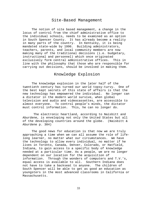#### Site-Based Management

The notion of site based management, a change in the locus of control from the chief administrative office to the individual schools, needs to be examined as an option in South Spencer County. It has already become a reality in many parts of the country. In Kentucky, it is being mandated state-wide by 1996. Building administrators, teachers, parents, and local community members are now making many of the traditional decisions (i.e. budgetary, instructional and personnel) which once originated exclusively form central administrative offices. This in line with the philosophy that those who are responsible for carrying out decisions, should be involved in making them.

# Knowledge Explosion

The knowledge explosion in the later half of the twentieth century has turned our world topsy-turvy. One of the best kept secrets of this state of affairs is that the new technology has empowered the individual. No longer can a dictator in the modern world survive, when global television and audio and videocassettes, are accessible to almost everyone. To control people's minds, the dictator must control information. This, he can no longer do.

 The electronic heartland, according to Naisbitt and Aburdene, is enveloping not only the United States but all of the developing countries around the globe. (Naisbitt & Aburdene p. 304)

The good news for education is that now we are truly approaching a time when we can all assume the role of lifelong learner, no matter what our circumstances. We have the technology to allow every individual, no matter if he lives in Toronto, Canada, Denver, Colorado, or Hatfield, Indiana, to gain access to a specific body of knowledge needed at a particular time. As a people, we are no longer dependent on our location for the acquisition of information. Through the wonders of computers and T.V.'s, equal access is available to all. Southern Indiana does not have to take a backseat to anyone. The children of South Spencer will be able to get as good an education as youngsters in the most advanced classrooms in California or Massachusetts.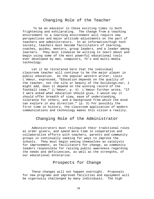#### Changing Role of the Teacher

 To be an educator in these exciting times is both frightening and exhilarating. The change from a teaching environment to a learning environment will require new perspectives and major attitude adjustments on the part of teachers and administrators. In an information/high tech society, teachers must become facilitators of learning, coaches, guides, mentors, group leaders, and a leader among learners. They must likewise be willing to learn about and begin using some of the most powerful educational tools ever developed by man, computers, TV's and multi-media technology.

Let it be reiterated here that the individual classroom teacher will continue to be the major player in public education. As the popular western writer, Louis L'Amour, expressed, "Education depends on the quality of the teacher, not the site or beauty of the buildings—nor, I might add, does it depend on the winning record of the football team…" (L'Amour, p. 4) L'Amour further wrote, "If I were asked what education should give, I would say it should offer breadth of view, ease of understanding, tolerance for others, and a background from which the mind can explore in any direction." (p. 3) For possibly the first time in history, the classroom application of modern communications and technology makes this vision a reality.

# Changing Role of the Administrator

Administrators must relinquish their traditional roles as order givers, and spend more time in cooperative and collaborative efforts with teachers, parents and community groups in continually seeking for ways to improve the schools. They must begin seeing themselves as catalysts for improvement, as facilitators for change, as community leaders responsible for raising public awareness regarding the needs and deficiencies, as well as the strengths, of our educational enterprise.

#### Prospects for Change

These changes will not happen overnight. Proposals for new programs and improved facilities and equipment will be vigorously challenged by many individuals. The high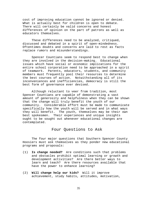cost of improving education cannot be ignored or denied. What is actually best for children is open to debate. There will certainly be valid concerns and honest differences of opinion on the part of patrons as well as educators themselves.

These differences need to be analyzed, critiqued, discussed and debated in a spirit of open-mindedness. Oftentimes doubts and concerns are laid to rest as facts replace rumors and misunderstandings.

Spencer Countians seem to respond best to change when they are involved in the decision-making. Educational issues which have social or economic implications for the entire school corporation need to be approached in a spirit of teamwork. Parents, educators, students, and community members must frequently pool their resources to determine the best courses of action. Notwithstanding all of its inconveniences and inefficiencies, democracy is still the best form of governance ever devised.

Although reluctant to veer from tradition, most Spencer Countians are capable of demonstrating a vast amount of generosity and helpfulness when they can be shown that the change will truly benefit the youth of our community. Considerable effort must be made to communicate specifically how the youth will be served and in what ways they will benefit. The youth, themselves may be their own best spokesmen. Their experiences and unique insights ought to be sought out whenever educational changes are contemplated.

#### Four Questions to Ask

The four major questions that Southern Spencer County Hoosiers must ask themselves as they ponder new educational programs and proposals:

- (1) **Is change needed?** Are conditions such that problems and obstacles prohibit optimal learning or growth and development activities? Are there better ways to learn and teach? Are there resources available that have the power to enhance learning?
- (2) **Will change help our kids?** Will it improve achievement, study habits, attitudes, motivation,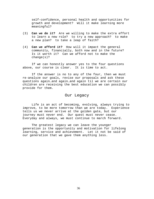self-confidence, personal health and opportunities for growth and development? Will it make learning more meaningful?

- (3) **Can we do it?** Are we willing to make the extra effort to learn a new role? to try a new approach? to make a new plan? to take a leap of faith?
- (4) **Can we afford it?** How will it impact the general community, financially, both now and in the future? Is it worth it? Can we afford not to make the change(s)?

If we can honestly answer yes to the four questions above, our course is clear. It is time to act.

If the answer is no to any of the four, then we must re-analyze our goals, revise our proposals and ask these questions again…and again…and again til we are certain our children are receiving the best education we can possibly provide for them.

#### Our Legacy

Life is an act of becoming, evolving, always trying to improve, to be more tomorrow than we are today. Experience tells us we never arrive at the golden gate, but our journey must never end. Our quest must never cease. Everyday and always, we must continue to march forward.

The greatest legacy we can leave the younger generation is the opportunity and motivation for lifelong learning, service and achievement. Let it not be said of our generation that we gave them anything less.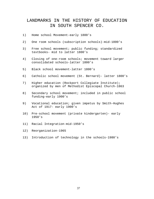# LANDMARKS IN THE HISTORY OF EDUCATION IN SOUTH SPENCER CO.

- 1) Home school Movement-early 1800's
- 2) One room schools (subscription schools)-mid-1800's
- 3) Free school movement; public funding; standardized textbooks- mid to latter 1800's
- 4) Closing of one-room schools; movement toward larger consolidated schools-latter 1800's
- 5) Black school movement-latter 1800's
- 6) Catholic school movement (St. Bernard)- latter 1800's
- 7) Higher education (Rockport Collegiate Institute); organized by men of Methodist Episcopal Church-1863
- 8) Secondary school movement; included in public school funding-early 1900's
- 9) Vocational education; given impetus by Smith-Hughes Act of 1917- early 1900's
- 10) Pre-school movement (private kindergarten)- early 1950's
- 11) Racial Integration-mid-1950's
- 12) Reorganization-1965
- 13) Introduction of technology in the schools-1980's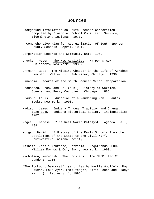#### Sources

- Background Information on South Spencer Corporation. compiled by Financial School Consultant Service, Bloomington, Indiana: 1973.
- A Comprehensive Plan for Reorganization of South Spencer County Schools. April, 1961.

Corporation Records and Community Data, 1959.

- Drucker, Peter. The New Realities. Harper & Row, Publishers, New York: 1989.
- Ehrmann, Bess. The Missing Chapter in the Life of Abraham Lincoln. Walter Hill Publisher, Chicago: 1938.
- Financial Records of the South Spencer School Corporation.
- Goodspeed, Bros. and Co. (pub.) History of Warrick, Spencer and Perry Counties. Chicago: 1885.
- L'Amour, Louis. Education of a Wandering Man. Bantam Books, New York: 1990.
- Madison, James. Indiana Through Tradition and Change, 1920-1945. Indiana Historical Society, Indianapolis: 1982.
- Mageau, Therese. "The Real World Catalyst", Agenda. Fall, 1991.
- Morgan, David. "A History of the Early Schools From the Settlement of the State to the Civil War", Southwestern Indiana Society.
- Nasbitt, John & Aburdene, Patricia. Megatrends 2000. William Morrow & Co., Inc., New York: 1990.
- Nicholson, Meredtih. The Hoosiers. The MacMillan Co., London: 1916.
- "The Rockport Democrat", (articles by Myrtle Woolfolk, Roy Bauman, Lola Ayer, Emma Yeager, Marie Conen and Gladys Martin). February 11, 1995.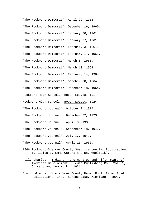"The Rockport Democrat", April 29, 1955. "The Rockport Democrat", December 16, 1960. "The Rockport Democrat", January 20, 1961. "The Rockport Democrat", January 27, 1961. "The Rockport Democrat", February 3, 1961. "The Rockport Democrat", February 17, 1961. "The Rockport Democrat", March 3, 1961. "The Rockport Democrat", March 10, 1961. "The Rockport Democrat", February 14, 1964. "The Rockport Democrat", October 30, 1964. "The Rockport Democrat", December 18, 1964. Rockport High School. Beech Leaves, 1917. Rockport High School. Beech Leaves, 1924. "The Rockport Journal", October 2, 1914. "The Rockport Journal", December 22, 1923. "The Rockport Journal", April 8, 1938. "The Rockport Journal", September 18, 1942. "The Rockport Journal", July 16, 1943. "The Rockport Journal", April 15, 1966.

- 1968 Rockport-Spencer County Sesquicentennial Publication. (articles by Emma Waters and Ray Woolfolk).
- Roll, Charles. Indiana: One Hundred and Fifty Years of American Development. Lewis Publishing Co., Vol. 1, Chicago and New York: 1931.
- Shull, Glenda. Who's Your County Named For? River Road Publications, Inc., Spring Lake, Michigan: 1990.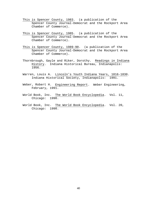- This is Spencer County, 1983. (a publication of the Spencer County Journal-Democrat and the Rockport Area Chamber of Commerce).
- This is Spencer County, 1985. (a publication of the Spencer County Journal-Democrat and the Rockport Area Chamber of Commerce).
- This is Spencer County, 1989-90. (a publication of the Spencer County Journal-Democrat and the Rockport Area Chamber of Commerce).
- Thornbrough, Gayle and Riker, Dorothy. Readings in Indiana History. Indiana Historical Bureau, Indianapolis: 1956.
- Warren, Louis A. Lincoln's Youth Indiana Years, 1816-1830. Indiana Historical Society, Indianapolis: 1991.
- Weber, Robert H. Engineering Report. Weber Engineering, February, 1991.
- World Book, Inc. The World Book Encyclopedia. Vol. 11, Chicago: 1990.
- World Book, Inc. The World Book Encyclopedia. Vol. 20, Chicago: 1990.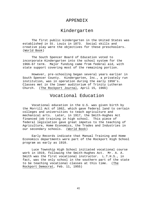#### APPENDIX

# Kindergarten

The first public kindergarten in the United States was established in St. Louis in 1873. Social skills and creative play were the objectives for these preschoolers. (World Book)

The South Spencer Board of Education voted to incorporate Kindergarten into the school system for the 1966-67 term. Major funding came from federal aid, with state support covering most of the remaining portion.

However, pre-schooling began several years earlier in South Spencer County. Kindergarten, Inc., a privately run institution, was in operation during the early 1950's. Classes met in the lower auditorium of Trinity Lutheran Church. (The Rockport Journal, April 15, 1966)

# Vocational Education

Vocational education in the U.S. was given birth by the Morrill Act of 1862, which gave federal land to certain colleges and universities to teach agriculture and mechanical arts. Later, in 1917, the Smith-Hughes Act financed job training in high school. This piece of federal legislation gave great impetus to the teaching of Agriculture, Home Economics, the Trades and Industries in our secondary schools. (World Book)

Early Records indicate that Manual Training and Home Economics departments were part of the Rockport High School program as early as 1910.

Luce Township High School initiated vocational course work in 1919, following the Smith-Hughes Act. Mr. A. A. Smith was the first vocational instructor. L.T.H.S., in fact, was the only school in the southern part of the state to be teaching vocational classes at this time. (The Rockport Democrat, Feb. 11, 1955)